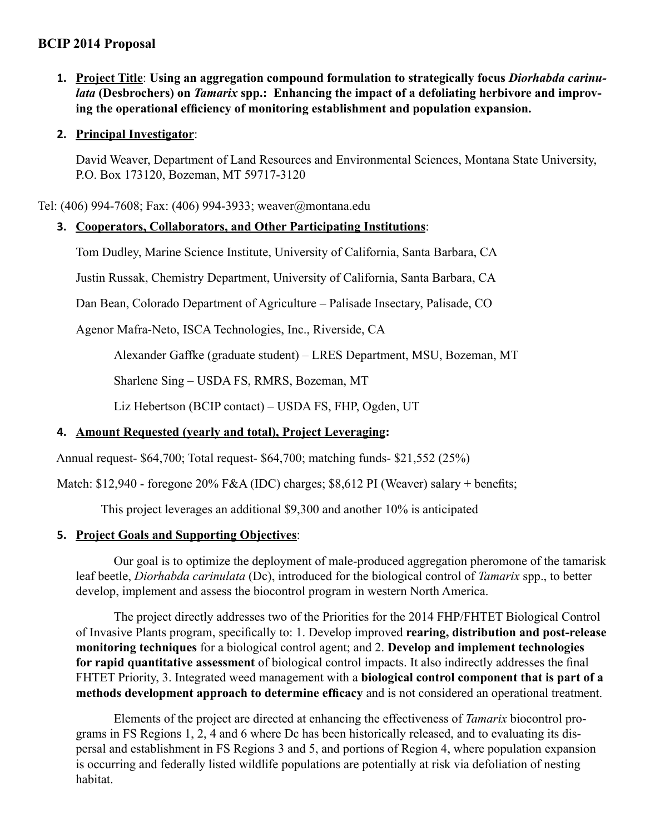# **BCIP 2014 Proposal**

- **1. Project Title**: **Using an aggregation compound formulation to strategically focus** *Diorhabda carinulata* **(Desbrochers) on** *Tamarix* **spp.: Enhancing the impact of a defoliating herbivore and improving the operational efficiency of monitoring establishment and population expansion.**
- **2. Principal Investigator**:

David Weaver, Department of Land Resources and Environmental Sciences, Montana State University, P.O. Box 173120, Bozeman, MT 59717-3120

Tel: (406) 994-7608; Fax: (406) 994-3933; weaver@montana.edu

## **3. Cooperators, Collaborators, and Other Participating Institutions**:

Tom Dudley, Marine Science Institute, University of California, Santa Barbara, CA

Justin Russak, Chemistry Department, University of California, Santa Barbara, CA

Dan Bean, Colorado Department of Agriculture – Palisade Insectary, Palisade, CO

Agenor Mafra-Neto, ISCA Technologies, Inc., Riverside, CA

Alexander Gaffke (graduate student) – LRES Department, MSU, Bozeman, MT

Sharlene Sing – USDA FS, RMRS, Bozeman, MT

Liz Hebertson (BCIP contact) – USDA FS, FHP, Ogden, UT

# **4. Amount Requested (yearly and total), Project Leveraging:**

Annual request- \$64,700; Total request- \$64,700; matching funds- \$21,552 (25%)

Match: \$12,940 - foregone 20% F&A (IDC) charges; \$8,612 PI (Weaver) salary + benefits;

This project leverages an additional \$9,300 and another 10% is anticipated

## **5. Project Goals and Supporting Objectives**:

Our goal is to optimize the deployment of male-produced aggregation pheromone of the tamarisk leaf beetle, *Diorhabda carinulata* (Dc), introduced for the biological control of *Tamarix* spp., to better develop, implement and assess the biocontrol program in western North America.

The project directly addresses two of the Priorities for the 2014 FHP/FHTET Biological Control of Invasive Plants program, specifically to: 1. Develop improved **rearing, distribution and post-release monitoring techniques** for a biological control agent; and 2. **Develop and implement technologies for rapid quantitative assessment** of biological control impacts. It also indirectly addresses the final FHTET Priority, 3. Integrated weed management with a **biological control component that is part of a methods development approach to determine efficacy** and is not considered an operational treatment.

Elements of the project are directed at enhancing the effectiveness of *Tamarix* biocontrol programs in FS Regions 1, 2, 4 and 6 where Dc has been historically released, and to evaluating its dispersal and establishment in FS Regions 3 and 5, and portions of Region 4, where population expansion is occurring and federally listed wildlife populations are potentially at risk via defoliation of nesting habitat.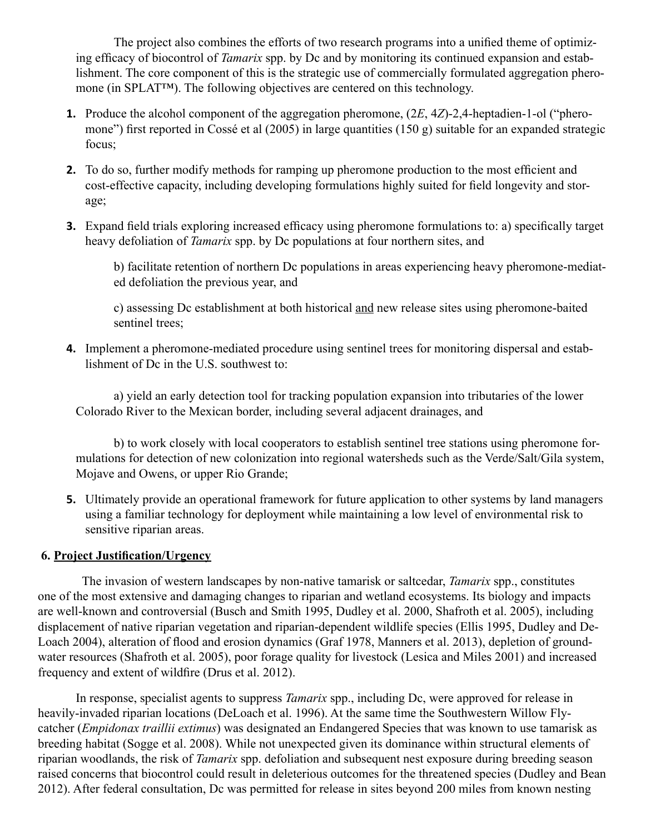The project also combines the efforts of two research programs into a unified theme of optimizing efficacy of biocontrol of *Tamarix* spp. by Dc and by monitoring its continued expansion and establishment. The core component of this is the strategic use of commercially formulated aggregation pheromone (in SPLAT™). The following objectives are centered on this technology.

- **1.** Produce the alcohol component of the aggregation pheromone, (2*E*, 4*Z*)-2,4-heptadien-1-ol ("pheromone") first reported in Cossé et al (2005) in large quantities (150 g) suitable for an expanded strategic focus;
- **2.** To do so, further modify methods for ramping up pheromone production to the most efficient and cost-effective capacity, including developing formulations highly suited for field longevity and storage;
- **3.** Expand field trials exploring increased efficacy using pheromone formulations to: a) specifically target heavy defoliation of *Tamarix* spp. by Dc populations at four northern sites, and

b) facilitate retention of northern Dc populations in areas experiencing heavy pheromone-mediated defoliation the previous year, and

c) assessing Dc establishment at both historical and new release sites using pheromone-baited sentinel trees;

**4.** Implement a pheromone-mediated procedure using sentinel trees for monitoring dispersal and establishment of Dc in the U.S. southwest to:

 a) yield an early detection tool for tracking population expansion into tributaries of the lower Colorado River to the Mexican border, including several adjacent drainages, and

 b) to work closely with local cooperators to establish sentinel tree stations using pheromone formulations for detection of new colonization into regional watersheds such as the Verde/Salt/Gila system, Mojave and Owens, or upper Rio Grande;

**5.** Ultimately provide an operational framework for future application to other systems by land managers using a familiar technology for deployment while maintaining a low level of environmental risk to sensitive riparian areas.

# **6. Project Justification/Urgency**

 The invasion of western landscapes by non-native tamarisk or saltcedar, *Tamarix* spp., constitutes one of the most extensive and damaging changes to riparian and wetland ecosystems. Its biology and impacts are well-known and controversial (Busch and Smith 1995, Dudley et al. 2000, Shafroth et al. 2005), including displacement of native riparian vegetation and riparian-dependent wildlife species (Ellis 1995, Dudley and De-Loach 2004), alteration of flood and erosion dynamics (Graf 1978, Manners et al. 2013), depletion of groundwater resources (Shafroth et al. 2005), poor forage quality for livestock (Lesica and Miles 2001) and increased frequency and extent of wildfire (Drus et al. 2012).

In response, specialist agents to suppress *Tamarix* spp., including Dc, were approved for release in heavily-invaded riparian locations (DeLoach et al. 1996). At the same time the Southwestern Willow Flycatcher (*Empidonax traillii extimus*) was designated an Endangered Species that was known to use tamarisk as breeding habitat (Sogge et al. 2008). While not unexpected given its dominance within structural elements of riparian woodlands, the risk of *Tamarix* spp. defoliation and subsequent nest exposure during breeding season raised concerns that biocontrol could result in deleterious outcomes for the threatened species (Dudley and Bean 2012). After federal consultation, Dc was permitted for release in sites beyond 200 miles from known nesting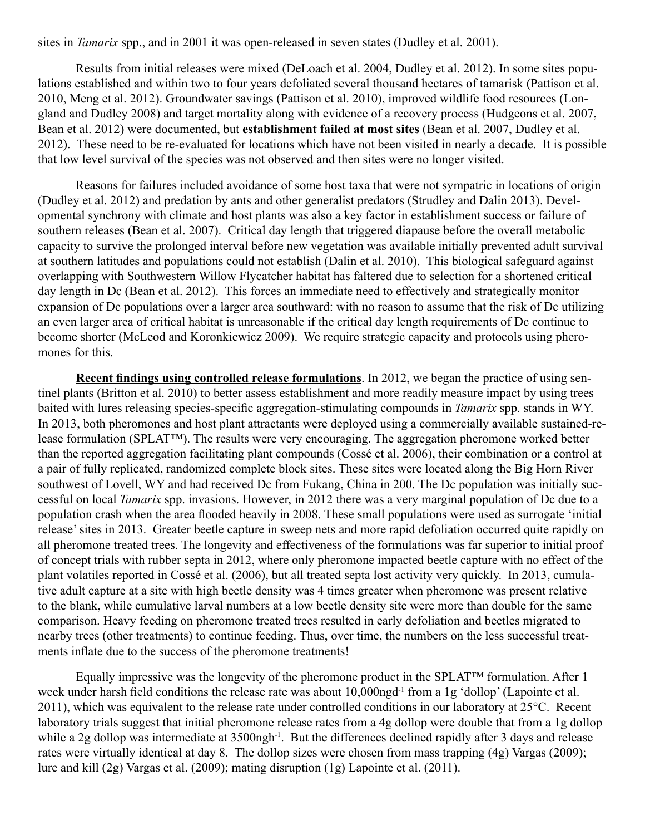sites in *Tamarix* spp., and in 2001 it was open-released in seven states (Dudley et al. 2001).

Results from initial releases were mixed (DeLoach et al. 2004, Dudley et al. 2012). In some sites populations established and within two to four years defoliated several thousand hectares of tamarisk (Pattison et al. 2010, Meng et al. 2012). Groundwater savings (Pattison et al. 2010), improved wildlife food resources (Longland and Dudley 2008) and target mortality along with evidence of a recovery process (Hudgeons et al. 2007, Bean et al. 2012) were documented, but **establishment failed at most sites** (Bean et al. 2007, Dudley et al. 2012). These need to be re-evaluated for locations which have not been visited in nearly a decade. It is possible that low level survival of the species was not observed and then sites were no longer visited.

Reasons for failures included avoidance of some host taxa that were not sympatric in locations of origin (Dudley et al. 2012) and predation by ants and other generalist predators (Strudley and Dalin 2013). Developmental synchrony with climate and host plants was also a key factor in establishment success or failure of southern releases (Bean et al. 2007). Critical day length that triggered diapause before the overall metabolic capacity to survive the prolonged interval before new vegetation was available initially prevented adult survival at southern latitudes and populations could not establish (Dalin et al. 2010). This biological safeguard against overlapping with Southwestern Willow Flycatcher habitat has faltered due to selection for a shortened critical day length in Dc (Bean et al. 2012). This forces an immediate need to effectively and strategically monitor expansion of Dc populations over a larger area southward: with no reason to assume that the risk of Dc utilizing an even larger area of critical habitat is unreasonable if the critical day length requirements of Dc continue to become shorter (McLeod and Koronkiewicz 2009). We require strategic capacity and protocols using pheromones for this.

**Recent findings using controlled release formulations**. In 2012, we began the practice of using sentinel plants (Britton et al. 2010) to better assess establishment and more readily measure impact by using trees baited with lures releasing species-specific aggregation-stimulating compounds in *Tamarix* spp. stands in WY. In 2013, both pheromones and host plant attractants were deployed using a commercially available sustained-release formulation (SPLAT™). The results were very encouraging. The aggregation pheromone worked better than the reported aggregation facilitating plant compounds (Cossé et al. 2006), their combination or a control at a pair of fully replicated, randomized complete block sites. These sites were located along the Big Horn River southwest of Lovell, WY and had received Dc from Fukang, China in 200. The Dc population was initially successful on local *Tamarix* spp. invasions. However, in 2012 there was a very marginal population of Dc due to a population crash when the area flooded heavily in 2008. These small populations were used as surrogate 'initial release' sites in 2013. Greater beetle capture in sweep nets and more rapid defoliation occurred quite rapidly on all pheromone treated trees. The longevity and effectiveness of the formulations was far superior to initial proof of concept trials with rubber septa in 2012, where only pheromone impacted beetle capture with no effect of the plant volatiles reported in Cossé et al. (2006), but all treated septa lost activity very quickly. In 2013, cumulative adult capture at a site with high beetle density was 4 times greater when pheromone was present relative to the blank, while cumulative larval numbers at a low beetle density site were more than double for the same comparison. Heavy feeding on pheromone treated trees resulted in early defoliation and beetles migrated to nearby trees (other treatments) to continue feeding. Thus, over time, the numbers on the less successful treatments inflate due to the success of the pheromone treatments!

Equally impressive was the longevity of the pheromone product in the SPLAT™ formulation. After 1 week under harsh field conditions the release rate was about 10,000ngd<sup>-1</sup> from a 1g 'dollop' (Lapointe et al. 2011), which was equivalent to the release rate under controlled conditions in our laboratory at 25°C. Recent laboratory trials suggest that initial pheromone release rates from a 4g dollop were double that from a 1g dollop while a 2g dollop was intermediate at 3500ngh<sup>-1</sup>. But the differences declined rapidly after 3 days and release rates were virtually identical at day 8. The dollop sizes were chosen from mass trapping (4g) Vargas (2009); lure and kill (2g) Vargas et al. (2009); mating disruption (1g) Lapointe et al. (2011).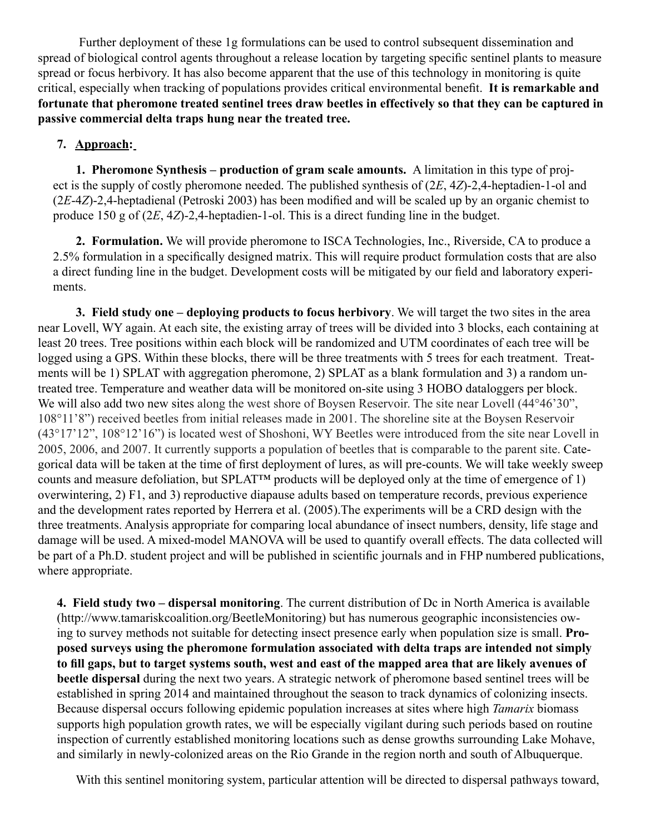Further deployment of these 1g formulations can be used to control subsequent dissemination and spread of biological control agents throughout a release location by targeting specific sentinel plants to measure spread or focus herbivory. It has also become apparent that the use of this technology in monitoring is quite critical, especially when tracking of populations provides critical environmental benefit. **It is remarkable and fortunate that pheromone treated sentinel trees draw beetles in effectively so that they can be captured in passive commercial delta traps hung near the treated tree.** 

# **7. Approach:**

**1. Pheromone Synthesis – production of gram scale amounts.** A limitation in this type of project is the supply of costly pheromone needed. The published synthesis of (2*E*, 4*Z*)-2,4-heptadien-1-ol and (2*E*-4*Z*)-2,4-heptadienal (Petroski 2003) has been modified and will be scaled up by an organic chemist to produce 150 g of (2*E*, 4*Z*)-2,4-heptadien-1-ol. This is a direct funding line in the budget.

**2. Formulation.** We will provide pheromone to ISCA Technologies, Inc., Riverside, CA to produce a 2.5% formulation in a specifically designed matrix. This will require product formulation costs that are also a direct funding line in the budget. Development costs will be mitigated by our field and laboratory experiments.

**3. Field study one – deploying products to focus herbivory**. We will target the two sites in the area near Lovell, WY again. At each site, the existing array of trees will be divided into 3 blocks, each containing at least 20 trees. Tree positions within each block will be randomized and UTM coordinates of each tree will be logged using a GPS. Within these blocks, there will be three treatments with 5 trees for each treatment. Treatments will be 1) SPLAT with aggregation pheromone, 2) SPLAT as a blank formulation and 3) a random untreated tree. Temperature and weather data will be monitored on-site using 3 HOBO dataloggers per block. We will also add two new sites along the west shore of Boysen Reservoir. The site near Lovell (44°46'30", 108°11'8") received beetles from initial releases made in 2001. The shoreline site at the Boysen Reservoir (43°17'12", 108°12'16") is located west of Shoshoni, WY Beetles were introduced from the site near Lovell in 2005, 2006, and 2007. It currently supports a population of beetles that is comparable to the parent site. Categorical data will be taken at the time of first deployment of lures, as will pre-counts. We will take weekly sweep counts and measure defoliation, but SPLAT™ products will be deployed only at the time of emergence of 1) overwintering, 2) F1, and 3) reproductive diapause adults based on temperature records, previous experience and the development rates reported by Herrera et al. (2005).The experiments will be a CRD design with the three treatments. Analysis appropriate for comparing local abundance of insect numbers, density, life stage and damage will be used. A mixed-model MANOVA will be used to quantify overall effects. The data collected will be part of a Ph.D. student project and will be published in scientific journals and in FHP numbered publications, where appropriate.

**4. Field study two – dispersal monitoring**. The current distribution of Dc in North America is available (http://www.tamariskcoalition.org/BeetleMonitoring) but has numerous geographic inconsistencies owing to survey methods not suitable for detecting insect presence early when population size is small. **Proposed surveys using the pheromone formulation associated with delta traps are intended not simply to fill gaps, but to target systems south, west and east of the mapped area that are likely avenues of beetle dispersal** during the next two years. A strategic network of pheromone based sentinel trees will be established in spring 2014 and maintained throughout the season to track dynamics of colonizing insects. Because dispersal occurs following epidemic population increases at sites where high *Tamarix* biomass supports high population growth rates, we will be especially vigilant during such periods based on routine inspection of currently established monitoring locations such as dense growths surrounding Lake Mohave, and similarly in newly-colonized areas on the Rio Grande in the region north and south of Albuquerque.

With this sentinel monitoring system, particular attention will be directed to dispersal pathways toward,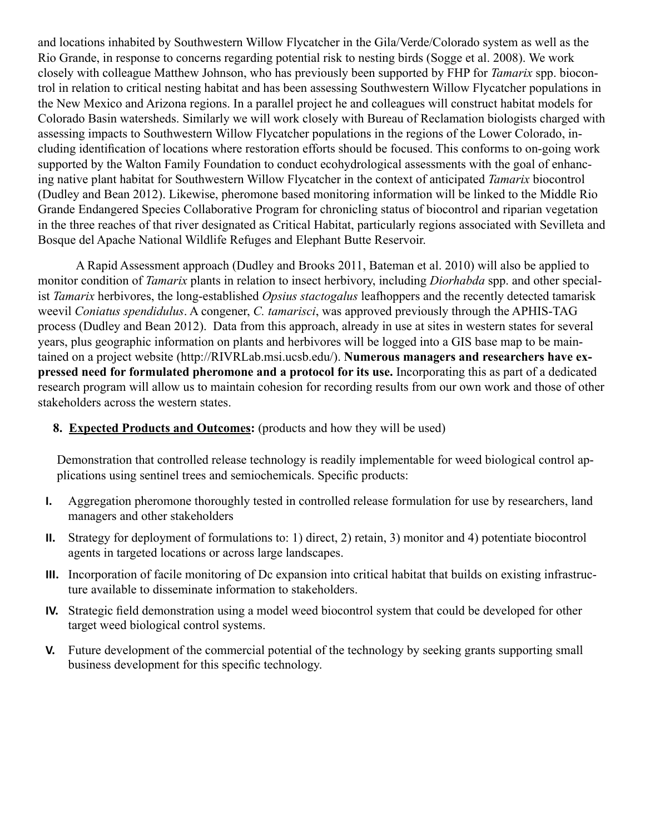and locations inhabited by Southwestern Willow Flycatcher in the Gila/Verde/Colorado system as well as the Rio Grande, in response to concerns regarding potential risk to nesting birds (Sogge et al. 2008). We work closely with colleague Matthew Johnson, who has previously been supported by FHP for *Tamarix* spp. biocontrol in relation to critical nesting habitat and has been assessing Southwestern Willow Flycatcher populations in the New Mexico and Arizona regions. In a parallel project he and colleagues will construct habitat models for Colorado Basin watersheds. Similarly we will work closely with Bureau of Reclamation biologists charged with assessing impacts to Southwestern Willow Flycatcher populations in the regions of the Lower Colorado, including identification of locations where restoration efforts should be focused. This conforms to on-going work supported by the Walton Family Foundation to conduct ecohydrological assessments with the goal of enhancing native plant habitat for Southwestern Willow Flycatcher in the context of anticipated *Tamarix* biocontrol (Dudley and Bean 2012). Likewise, pheromone based monitoring information will be linked to the Middle Rio Grande Endangered Species Collaborative Program for chronicling status of biocontrol and riparian vegetation in the three reaches of that river designated as Critical Habitat, particularly regions associated with Sevilleta and Bosque del Apache National Wildlife Refuges and Elephant Butte Reservoir.

A Rapid Assessment approach (Dudley and Brooks 2011, Bateman et al. 2010) will also be applied to monitor condition of *Tamarix* plants in relation to insect herbivory, including *Diorhabda* spp. and other specialist *Tamarix* herbivores, the long-established *Opsius stactogalus* leafhoppers and the recently detected tamarisk weevil *Coniatus spendidulus*. A congener, *C. tamarisci*, was approved previously through the APHIS-TAG process (Dudley and Bean 2012). Data from this approach, already in use at sites in western states for several years, plus geographic information on plants and herbivores will be logged into a GIS base map to be maintained on a project website (http://RIVRLab.msi.ucsb.edu/). **Numerous managers and researchers have expressed need for formulated pheromone and a protocol for its use.** Incorporating this as part of a dedicated research program will allow us to maintain cohesion for recording results from our own work and those of other stakeholders across the western states.

**8. Expected Products and Outcomes:** (products and how they will be used)

Demonstration that controlled release technology is readily implementable for weed biological control applications using sentinel trees and semiochemicals. Specific products:

- **I.** Aggregation pheromone thoroughly tested in controlled release formulation for use by researchers, land managers and other stakeholders
- **II.** Strategy for deployment of formulations to: 1) direct, 2) retain, 3) monitor and 4) potentiate biocontrol agents in targeted locations or across large landscapes.
- **III.** Incorporation of facile monitoring of Dc expansion into critical habitat that builds on existing infrastructure available to disseminate information to stakeholders.
- **IV.** Strategic field demonstration using a model weed biocontrol system that could be developed for other target weed biological control systems.
- **V.** Future development of the commercial potential of the technology by seeking grants supporting small business development for this specific technology.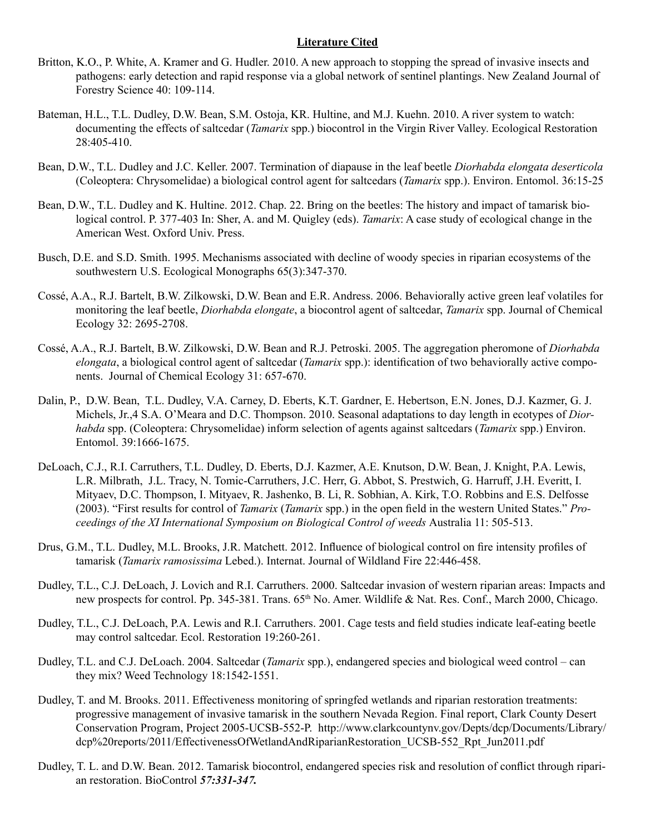## **Literature Cited**

- Britton, K.O., P. White, A. Kramer and G. Hudler. 2010. A new approach to stopping the spread of invasive insects and pathogens: early detection and rapid response via a global network of sentinel plantings. New Zealand Journal of Forestry Science 40: 109-114.
- Bateman, H.L., T.L. Dudley, D.W. Bean, S.M. Ostoja, KR. Hultine, and M.J. Kuehn. 2010. A river system to watch: documenting the effects of saltcedar (*Tamarix* spp.) biocontrol in the Virgin River Valley. Ecological Restoration 28:405-410.
- Bean, D.W., T.L. Dudley and J.C. Keller. 2007. Termination of diapause in the leaf beetle *Diorhabda elongata deserticola* (Coleoptera: Chrysomelidae) a biological control agent for saltcedars (*Tamarix* spp.). Environ. Entomol. 36:15-25
- Bean, D.W., T.L. Dudley and K. Hultine. 2012. Chap. 22. Bring on the beetles: The history and impact of tamarisk biological control. P. 377-403 In: Sher, A. and M. Quigley (eds). *Tamarix*: A case study of ecological change in the American West. Oxford Univ. Press.
- Busch, D.E. and S.D. Smith. 1995. Mechanisms associated with decline of woody species in riparian ecosystems of the southwestern U.S. Ecological Monographs 65(3):347-370.
- Cossé, A.A., R.J. Bartelt, B.W. Zilkowski, D.W. Bean and E.R. Andress. 2006. Behaviorally active green leaf volatiles for monitoring the leaf beetle, *Diorhabda elongate*, a biocontrol agent of saltcedar, *Tamarix* spp. Journal of Chemical Ecology 32: 2695-2708.
- Cossé, A.A., R.J. Bartelt, B.W. Zilkowski, D.W. Bean and R.J. Petroski. 2005. The aggregation pheromone of *Diorhabda elongata*, a biological control agent of saltcedar (*Tamarix* spp.): identification of two behaviorally active components. Journal of Chemical Ecology 31: 657-670.
- Dalin, P., D.W. Bean, T.L. Dudley, V.A. Carney, D. Eberts, K.T. Gardner, E. Hebertson, E.N. Jones, D.J. Kazmer, G. J. Michels, Jr.,4 S.A. O'Meara and D.C. Thompson. 2010. Seasonal adaptations to day length in ecotypes of *Diorhabda* spp. (Coleoptera: Chrysomelidae) inform selection of agents against saltcedars (*Tamarix* spp.) Environ. Entomol. 39:1666-1675.
- DeLoach, C.J., R.I. Carruthers, T.L. Dudley, D. Eberts, D.J. Kazmer, A.E. Knutson, D.W. Bean, J. Knight, P.A. Lewis, L.R. Milbrath, J.L. Tracy, N. Tomic-Carruthers, J.C. Herr, G. Abbot, S. Prestwich, G. Harruff, J.H. Everitt, I. Mityaev, D.C. Thompson, I. Mityaev, R. Jashenko, B. Li, R. Sobhian, A. Kirk, T.O. Robbins and E.S. Delfosse (2003). "First results for control of *Tamarix* (*Tamarix* spp.) in the open field in the western United States." *Proceedings of the XI International Symposium on Biological Control of weeds* Australia 11: 505-513.
- Drus, G.M., T.L. Dudley, M.L. Brooks, J.R. Matchett. 2012. Influence of biological control on fire intensity profiles of tamarisk (*Tamarix ramosissima* Lebed.). Internat. Journal of Wildland Fire 22:446-458.
- Dudley, T.L., C.J. DeLoach, J. Lovich and R.I. Carruthers. 2000. Saltcedar invasion of western riparian areas: Impacts and new prospects for control. Pp. 345-381. Trans. 65th No. Amer. Wildlife & Nat. Res. Conf., March 2000, Chicago.
- Dudley, T.L., C.J. DeLoach, P.A. Lewis and R.I. Carruthers. 2001. Cage tests and field studies indicate leaf-eating beetle may control saltcedar. Ecol. Restoration 19:260-261.
- Dudley, T.L. and C.J. DeLoach. 2004. Saltcedar (*Tamarix* spp.), endangered species and biological weed control can they mix? Weed Technology 18:1542-1551.
- Dudley, T. and M. Brooks. 2011. Effectiveness monitoring of springfed wetlands and riparian restoration treatments: progressive management of invasive tamarisk in the southern Nevada Region. Final report, Clark County Desert Conservation Program, Project 2005-UCSB-552-P. http://www.clarkcountynv.gov/Depts/dcp/Documents/Library/ dcp%20reports/2011/EffectivenessOfWetlandAndRiparianRestoration\_UCSB-552\_Rpt\_Jun2011.pdf
- Dudley, T. L. and D.W. Bean. 2012. Tamarisk biocontrol, endangered species risk and resolution of conflict through riparian restoration. BioControl *57:331-347.*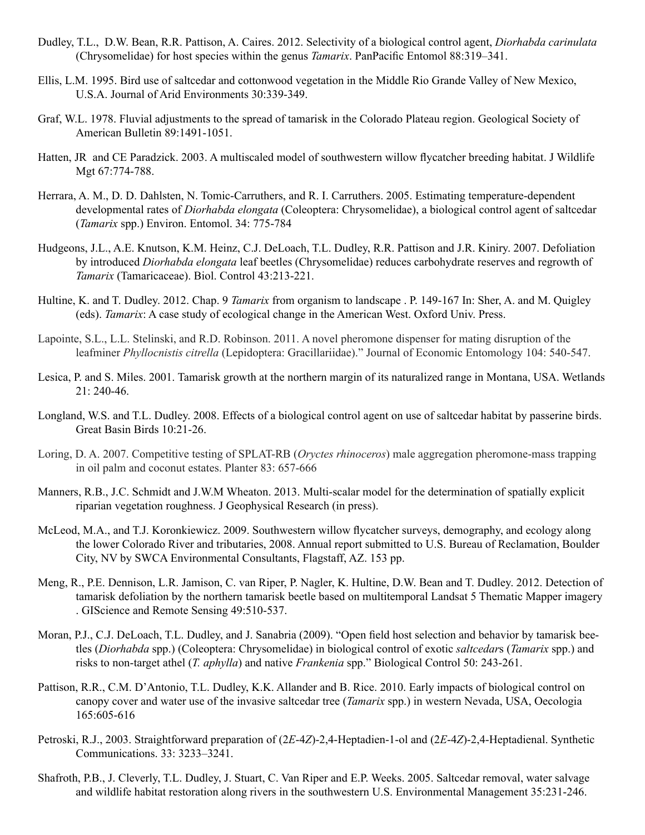- Dudley, T.L., D.W. Bean, R.R. Pattison, A. Caires. 2012. Selectivity of a biological control agent, *Diorhabda carinulata* (Chrysomelidae) for host species within the genus *Tamarix*. PanPacific Entomol 88:319–341.
- Ellis, L.M. 1995. Bird use of saltcedar and cottonwood vegetation in the Middle Rio Grande Valley of New Mexico, U.S.A. Journal of Arid Environments 30:339-349.
- Graf, W.L. 1978. Fluvial adjustments to the spread of tamarisk in the Colorado Plateau region. Geological Society of American Bulletin 89:1491-1051.
- Hatten, JR and CE Paradzick. 2003. A multiscaled model of southwestern willow flycatcher breeding habitat. J Wildlife Mgt 67:774-788.
- Herrara, A. M., D. D. Dahlsten, N. Tomic-Carruthers, and R. I. Carruthers. 2005. Estimating temperature-dependent developmental rates of *Diorhabda elongata* (Coleoptera: Chrysomelidae), a biological control agent of saltcedar (*Tamarix* spp.) Environ. Entomol. 34: 775-784
- Hudgeons, J.L., A.E. Knutson, K.M. Heinz, C.J. DeLoach, T.L. Dudley, R.R. Pattison and J.R. Kiniry. 2007. Defoliation by introduced *Diorhabda elongata* leaf beetles (Chrysomelidae) reduces carbohydrate reserves and regrowth of *Tamarix* (Tamaricaceae). Biol. Control 43:213-221.
- Hultine, K. and T. Dudley. 2012. Chap. 9 *Tamarix* from organism to landscape . P. 149-167 In: Sher, A. and M. Quigley (eds). *Tamarix*: A case study of ecological change in the American West. Oxford Univ. Press.
- Lapointe, S.L., L.L. Stelinski, and R.D. Robinson. 2011. A novel pheromone dispenser for mating disruption of the leafminer *Phyllocnistis citrella* (Lepidoptera: Gracillariidae)." Journal of Economic Entomology 104: 540-547.
- Lesica, P. and S. Miles. 2001. Tamarisk growth at the northern margin of its naturalized range in Montana, USA. Wetlands 21: 240-46.
- Longland, W.S. and T.L. Dudley. 2008. Effects of a biological control agent on use of saltcedar habitat by passerine birds. Great Basin Birds 10:21-26.
- Loring, D. A. 2007. Competitive testing of SPLAT-RB (*Oryctes rhinoceros*) male aggregation pheromone-mass trapping in oil palm and coconut estates. Planter 83: 657-666
- Manners, R.B., J.C. Schmidt and J.W.M Wheaton. 2013. Multi-scalar model for the determination of spatially explicit riparian vegetation roughness. J Geophysical Research (in press).
- McLeod, M.A., and T.J. Koronkiewicz. 2009. Southwestern willow flycatcher surveys, demography, and ecology along the lower Colorado River and tributaries, 2008. Annual report submitted to U.S. Bureau of Reclamation, Boulder City, NV by SWCA Environmental Consultants, Flagstaff, AZ. 153 pp.
- Meng, R., P.E. Dennison, L.R. Jamison, C. van Riper, P. Nagler, K. Hultine, D.W. Bean and T. Dudley. 2012. Detection of tamarisk defoliation by the northern tamarisk beetle based on multitemporal Landsat 5 Thematic Mapper imagery . GIScience and Remote Sensing 49:510-537.
- Moran, P.J., C.J. DeLoach, T.L. Dudley, and J. Sanabria (2009). "Open field host selection and behavior by tamarisk beetles (*Diorhabda* spp.) (Coleoptera: Chrysomelidae) in biological control of exotic *saltcedar*s (*Tamarix* spp.) and risks to non-target athel (*T. aphylla*) and native *Frankenia* spp." Biological Control 50: 243-261.
- Pattison, R.R., C.M. D'Antonio, T.L. Dudley, K.K. Allander and B. Rice. 2010. Early impacts of biological control on canopy cover and water use of the invasive saltcedar tree (*Tamarix* spp.) in western Nevada, USA, Oecologia 165:605-616
- Petroski, R.J., 2003. Straightforward preparation of (2*E*-4*Z*)-2,4-Heptadien-1-ol and (2*E*-4*Z*)-2,4-Heptadienal. Synthetic Communications. 33: 3233–3241.
- Shafroth, P.B., J. Cleverly, T.L. Dudley, J. Stuart, C. Van Riper and E.P. Weeks. 2005. Saltcedar removal, water salvage and wildlife habitat restoration along rivers in the southwestern U.S. Environmental Management 35:231-246.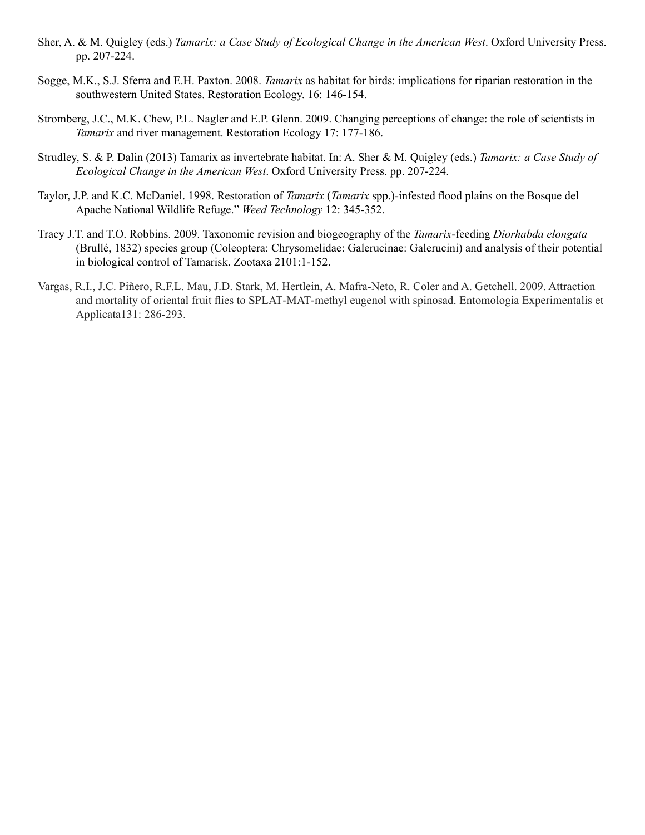- Sher, A. & M. Quigley (eds.) *Tamarix: a Case Study of Ecological Change in the American West*. Oxford University Press. pp. 207-224.
- Sogge, M.K., S.J. Sferra and E.H. Paxton. 2008. *Tamarix* as habitat for birds: implications for riparian restoration in the southwestern United States. Restoration Ecology. 16: 146-154.
- Stromberg, J.C., M.K. Chew, P.L. Nagler and E.P. Glenn. 2009. Changing perceptions of change: the role of scientists in *Tamarix* and river management. Restoration Ecology 17: 177-186.
- Strudley, S. & P. Dalin (2013) Tamarix as invertebrate habitat. In: A. Sher & M. Quigley (eds.) *Tamarix: a Case Study of Ecological Change in the American West*. Oxford University Press. pp. 207-224.
- Taylor, J.P. and K.C. McDaniel. 1998. Restoration of *Tamarix* (*Tamarix* spp.)-infested flood plains on the Bosque del Apache National Wildlife Refuge." *Weed Technology* 12: 345-352.
- Tracy J.T. and T.O. Robbins. 2009. Taxonomic revision and biogeography of the *Tamarix*-feeding *Diorhabda elongata*  (Brullé, 1832) species group (Coleoptera: Chrysomelidae: Galerucinae: Galerucini) and analysis of their potential in biological control of Tamarisk. Zootaxa 2101:1-152.
- Vargas, R.I., J.C. Piñero, R.F.L. Mau, J.D. Stark, M. Hertlein, A. Mafra-Neto, R. Coler and A. Getchell. 2009. Attraction and mortality of oriental fruit flies to SPLAT‐MAT‐methyl eugenol with spinosad. Entomologia Experimentalis et Applicata131: 286-293.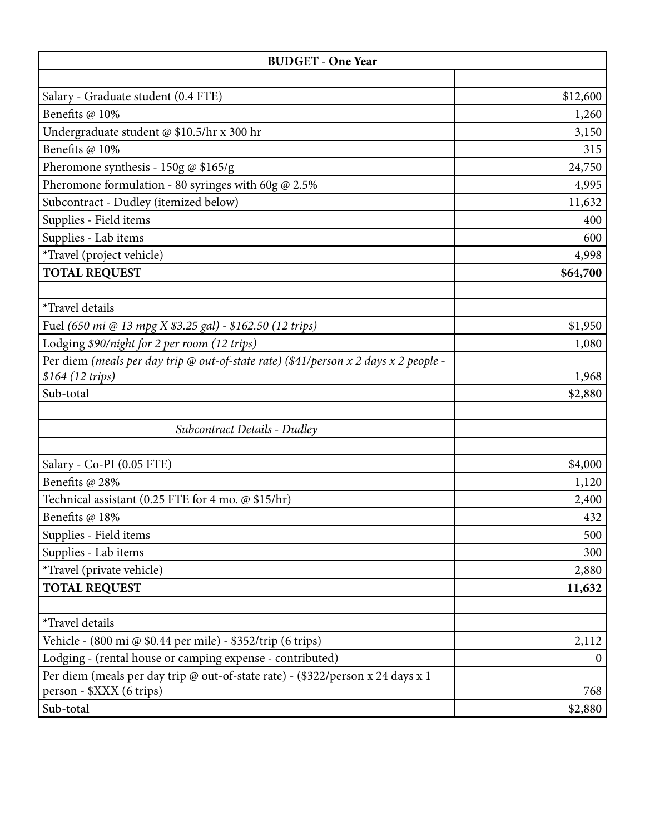| <b>BUDGET - One Year</b>                                                                 |          |  |  |
|------------------------------------------------------------------------------------------|----------|--|--|
|                                                                                          |          |  |  |
| Salary - Graduate student (0.4 FTE)                                                      | \$12,600 |  |  |
| Benefits @ 10%                                                                           | 1,260    |  |  |
| Undergraduate student @ \$10.5/hr x 300 hr                                               | 3,150    |  |  |
| Benefits @ 10%                                                                           | 315      |  |  |
| Pheromone synthesis - 150g @ $$165/g$                                                    | 24,750   |  |  |
| Pheromone formulation - 80 syringes with 60g $@$ 2.5%                                    | 4,995    |  |  |
| Subcontract - Dudley (itemized below)                                                    | 11,632   |  |  |
| Supplies - Field items                                                                   | 400      |  |  |
| Supplies - Lab items                                                                     | 600      |  |  |
| *Travel (project vehicle)                                                                | 4,998    |  |  |
| <b>TOTAL REQUEST</b>                                                                     | \$64,700 |  |  |
|                                                                                          |          |  |  |
| *Travel details                                                                          |          |  |  |
| Fuel (650 mi @ 13 mpg X \$3.25 gal) - \$162.50 (12 trips)                                | \$1,950  |  |  |
| Lodging \$90/night for 2 per room (12 trips)                                             | 1,080    |  |  |
| Per diem (meals per day trip @ out-of-state rate) (\$41/person $x$ 2 days $x$ 2 people - |          |  |  |
| \$164 (12 trips)                                                                         | 1,968    |  |  |
| Sub-total                                                                                | \$2,880  |  |  |
|                                                                                          |          |  |  |
| Subcontract Details - Dudley                                                             |          |  |  |
|                                                                                          |          |  |  |
| Salary - Co-PI (0.05 FTE)                                                                | \$4,000  |  |  |
| Benefits @ 28%                                                                           | 1,120    |  |  |
| Technical assistant (0.25 FTE for 4 mo. @ \$15/hr)                                       | 2,400    |  |  |
| Benefits @ 18%                                                                           | 432      |  |  |
| Supplies - Field items                                                                   | 500      |  |  |
| Supplies - Lab items                                                                     | 300      |  |  |
| *Travel (private vehicle)                                                                | 2,880    |  |  |
| <b>TOTAL REQUEST</b>                                                                     | 11,632   |  |  |
|                                                                                          |          |  |  |
| *Travel details                                                                          |          |  |  |
| Vehicle - (800 mi @ \$0.44 per mile) - \$352/trip (6 trips)                              | 2,112    |  |  |
| Lodging - (rental house or camping expense - contributed)                                | $\theta$ |  |  |
| Per diem (meals per day trip @ out-of-state rate) - (\$322/person x 24 days x 1          |          |  |  |
| person - \$XXX (6 trips)                                                                 | 768      |  |  |
| Sub-total                                                                                | \$2,880  |  |  |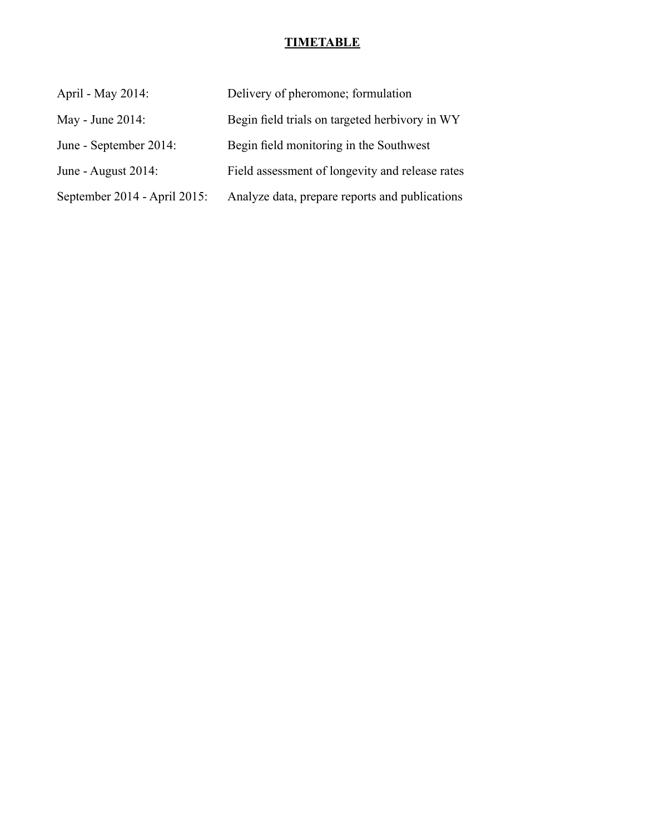# **TIMETABLE**

| April - May 2014:            | Delivery of pheromone; formulation              |
|------------------------------|-------------------------------------------------|
| May - June 2014:             | Begin field trials on targeted herbivory in WY  |
| June - September 2014:       | Begin field monitoring in the Southwest         |
| June - August $2014$ :       | Field assessment of longevity and release rates |
| September 2014 - April 2015: | Analyze data, prepare reports and publications  |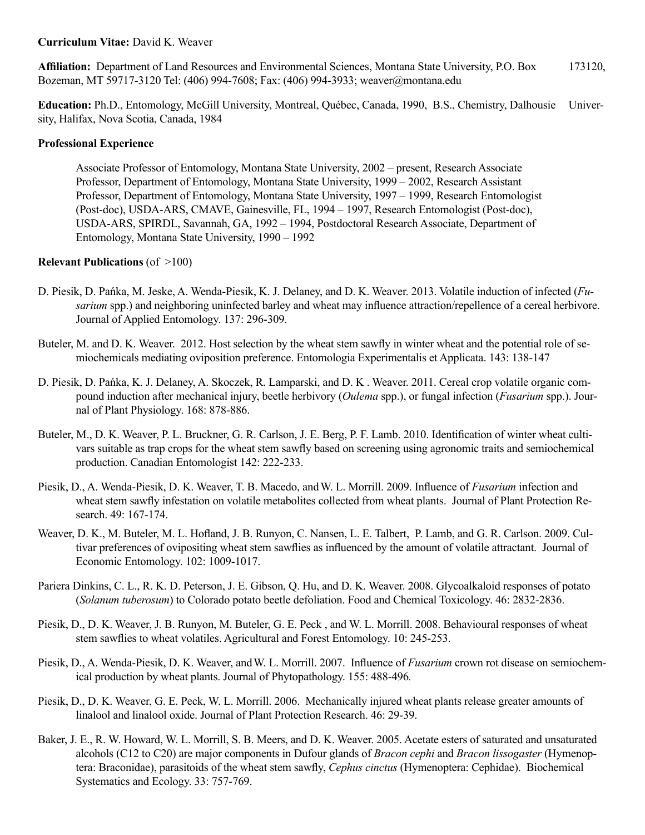## **Curriculum Vitae:** David K. Weaver

**Affiliation:** Department of Land Resources and Environmental Sciences, Montana State University, P.O. Box 173120, Bozeman, MT 59717-3120 Tel: (406) 994-7608; Fax: (406) 994-3933; weaver@montana.edu

**Education:** Ph.D., Entomology, McGill University, Montreal, Québec, Canada, 1990, B.S., Chemistry, Dalhousie University, Halifax, Nova Scotia, Canada, 1984

#### **Professional Experience**

Associate Professor of Entomology, Montana State University, 2002 – present, Research Associate Professor, Department of Entomology, Montana State University, 1999 – 2002, Research Assistant Professor, Department of Entomology, Montana State University, 1997 – 1999, Research Entomologist (Post-doc), USDA-ARS, CMAVE, Gainesville, FL, 1994 – 1997, Research Entomologist (Post-doc), USDA-ARS, SPIRDL, Savannah, GA, 1992 – 1994, Postdoctoral Research Associate, Department of Entomology, Montana State University, 1990 – 1992

## **Relevant Publications** (of >100)

- D. Piesik, D. Pańka, M. Jeske, A. Wenda-Piesik, K. J. Delaney, and D. K. Weaver. 2013. Volatile induction of infected (*Fusarium* spp.) and neighboring uninfected barley and wheat may influence attraction/repellence of a cereal herbivore. Journal of Applied Entomology. 137: 296-309.
- Buteler, M. and D. K. Weaver. 2012. Host selection by the wheat stem sawfly in winter wheat and the potential role of semiochemicals mediating oviposition preference. Entomologia Experimentalis et Applicata. 143: 138-147
- D. Piesik, D. Pańka, K. J. Delaney, A. Skoczek, R. Lamparski, and D. K . Weaver. 2011. Cereal crop volatile organic compound induction after mechanical injury, beetle herbivory (*Oulema* spp.), or fungal infection (*Fusarium* spp.). Journal of Plant Physiology. 168: 878-886.
- Buteler, M., D. K. Weaver, P. L. Bruckner, G. R. Carlson, J. E. Berg, P. F. Lamb. 2010. Identification of winter wheat cultivars suitable as trap crops for the wheat stem sawfly based on screening using agronomic traits and semiochemical production. Canadian Entomologist 142: 222-233.
- Piesik, D., A. Wenda-Piesik, D. K. Weaver, T. B. Macedo, andW. L. Morrill. 2009. Influence of *Fusarium* infection and wheat stem sawfly infestation on volatile metabolites collected from wheat plants. Journal of Plant Protection Research. 49: 167-174.
- Weaver, D. K., M. Buteler, M. L. Hofland, J. B. Runyon, C. Nansen, L. E. Talbert, P. Lamb, and G. R. Carlson. 2009. Cultivar preferences of ovipositing wheat stem sawflies as influenced by the amount of volatile attractant. Journal of Economic Entomology. 102: 1009-1017.
- Pariera Dinkins, C. L., R. K. D. Peterson, J. E. Gibson, Q. Hu, and D. K. Weaver. 2008. Glycoalkaloid responses of potato (*Solanum tuberosum*) to Colorado potato beetle defoliation. Food and Chemical Toxicology. 46: 2832-2836.
- Piesik, D., D. K. Weaver, J. B. Runyon, M. Buteler, G. E. Peck , and W. L. Morrill. 2008. Behavioural responses of wheat stem sawflies to wheat volatiles. Agricultural and Forest Entomology. 10: 245-253.
- Piesik, D., A. Wenda-Piesik, D. K. Weaver, andW. L. Morrill. 2007. Influence of *Fusarium* crown rot disease on semiochemical production by wheat plants. Journal of Phytopathology. 155: 488-496*.*
- Piesik, D., D. K. Weaver, G. E. Peck, W. L. Morrill. 2006. Mechanically injured wheat plants release greater amounts of linalool and linalool oxide. Journal of Plant Protection Research. 46: 29-39.
- Baker, J. E., R. W. Howard, W. L. Morrill, S. B. Meers, and D. K. Weaver. 2005. Acetate esters of saturated and unsaturated alcohols (C12 to C20) are major components in Dufour glands of *Bracon cephi* and *Bracon lissogaster* (Hymenoptera: Braconidae), parasitoids of the wheat stem sawfly, *Cephus cinctus* (Hymenoptera: Cephidae). Biochemical Systematics and Ecology. 33: 757-769.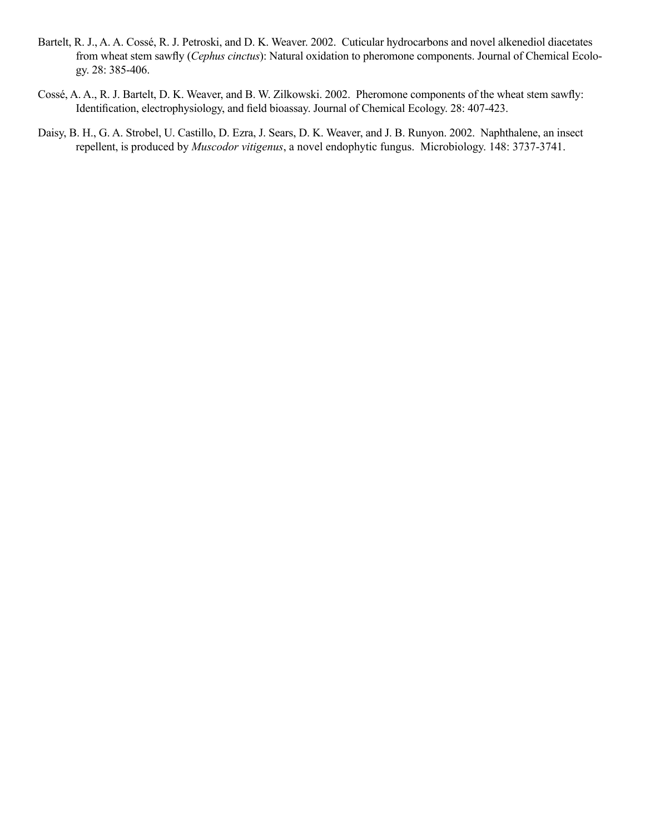- Bartelt, R. J., A. A. Cossé, R. J. Petroski, and D. K. Weaver. 2002. Cuticular hydrocarbons and novel alkenediol diacetates from wheat stem sawfly (*Cephus cinctus*): Natural oxidation to pheromone components. Journal of Chemical Ecology. 28: 385-406.
- Cossé, A. A., R. J. Bartelt, D. K. Weaver, and B. W. Zilkowski. 2002. Pheromone components of the wheat stem sawfly: Identification, electrophysiology, and field bioassay. Journal of Chemical Ecology. 28: 407-423.
- Daisy, B. H., G. A. Strobel, U. Castillo, D. Ezra, J. Sears, D. K. Weaver, and J. B. Runyon. 2002. Naphthalene, an insect repellent, is produced by *Muscodor vitigenus*, a novel endophytic fungus. Microbiology. 148: 3737-3741.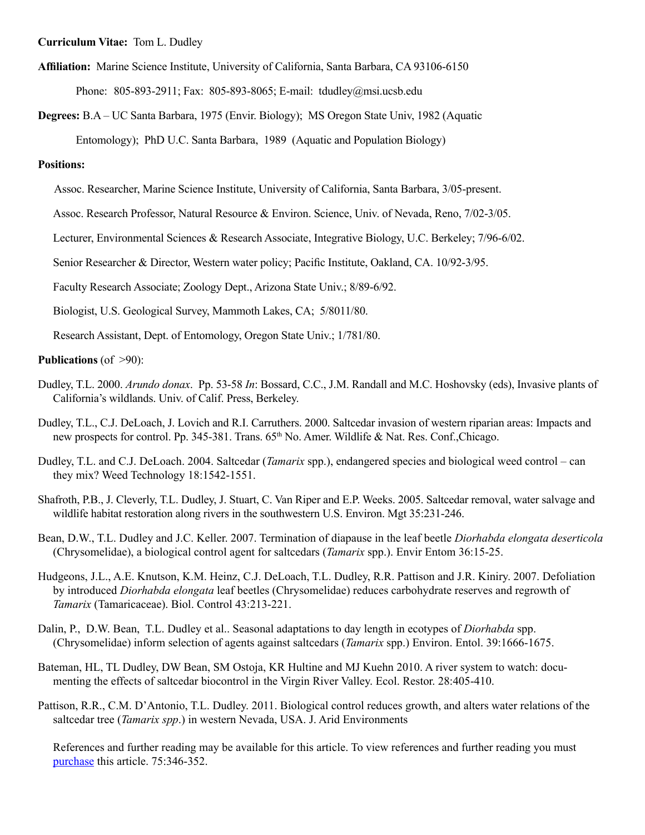**Curriculum Vitae:** Tom L. Dudley

**Affiliation:** Marine Science Institute, University of California, Santa Barbara, CA 93106-6150

Phone: 805-893-2911; Fax: 805-893-8065; E-mail: tdudley@msi.ucsb.edu

**Degrees:** B.A – UC Santa Barbara, 1975 (Envir. Biology); MS Oregon State Univ, 1982 (Aquatic Entomology); PhD U.C. Santa Barbara, 1989 (Aquatic and Population Biology)

#### **Positions:**

Assoc. Researcher, Marine Science Institute, University of California, Santa Barbara, 3/05-present.

Assoc. Research Professor, Natural Resource & Environ. Science, Univ. of Nevada, Reno, 7/02-3/05.

Lecturer, Environmental Sciences & Research Associate, Integrative Biology, U.C. Berkeley; 7/96-6/02.

Senior Researcher & Director, Western water policy; Pacific Institute, Oakland, CA. 10/92-3/95.

Faculty Research Associate; Zoology Dept., Arizona State Univ.; 8/89-6/92.

Biologist, U.S. Geological Survey, Mammoth Lakes, CA; 5/8011/80.

Research Assistant, Dept. of Entomology, Oregon State Univ.; 1/781/80.

#### **Publications** (of >90):

- Dudley, T.L. 2000. *Arundo donax*. Pp. 53-58 *In*: Bossard, C.C., J.M. Randall and M.C. Hoshovsky (eds), Invasive plants of California's wildlands. Univ. of Calif. Press, Berkeley.
- Dudley, T.L., C.J. DeLoach, J. Lovich and R.I. Carruthers. 2000. Saltcedar invasion of western riparian areas: Impacts and new prospects for control. Pp. 345-381. Trans. 65<sup>th</sup> No. Amer. Wildlife & Nat. Res. Conf.,Chicago.
- Dudley, T.L. and C.J. DeLoach. 2004. Saltcedar (*Tamarix* spp.), endangered species and biological weed control can they mix? Weed Technology 18:1542-1551.
- Shafroth, P.B., J. Cleverly, T.L. Dudley, J. Stuart, C. Van Riper and E.P. Weeks. 2005. Saltcedar removal, water salvage and wildlife habitat restoration along rivers in the southwestern U.S. Environ. Mgt 35:231-246.
- Bean, D.W., T.L. Dudley and J.C. Keller. 2007. Termination of diapause in the leaf beetle *Diorhabda elongata deserticola*  (Chrysomelidae), a biological control agent for saltcedars (*Tamarix* spp.). Envir Entom 36:15-25.
- Hudgeons, J.L., A.E. Knutson, K.M. Heinz, C.J. DeLoach, T.L. Dudley, R.R. Pattison and J.R. Kiniry. 2007. Defoliation by introduced *Diorhabda elongata* leaf beetles (Chrysomelidae) reduces carbohydrate reserves and regrowth of *Tamarix* (Tamaricaceae). Biol. Control 43:213-221.
- Dalin, P., D.W. Bean, T.L. Dudley et al.. Seasonal adaptations to day length in ecotypes of *Diorhabda* spp. (Chrysomelidae) inform selection of agents against saltcedars (*Tamarix* spp.) Environ. Entol. 39:1666-1675.
- Bateman, HL, TL Dudley, DW Bean, SM Ostoja, KR Hultine and MJ Kuehn 2010. A river system to watch: documenting the effects of saltcedar biocontrol in the Virgin River Valley. Ecol. Restor. 28:405-410.

Pattison, R.R., C.M. D'Antonio, T.L. Dudley. 2011. Biological control reduces growth, and alters water relations of the saltcedar tree (*Tamarix spp*.) in western Nevada, USA. J. Arid Environments

References and further reading may be available for this article. To view references and further reading you must [purchase](http://www.sciencedirect.com/science?_ob=ArticleURL&_udi=B6WH9-51R51B1-2&_user=10&_coverDate=04%2F30%2F2011&_rdoc=1&_fmt=full&_orig=gateway&_origin=gateway&_cdi=6845&_sort=d&_docanchor=&view=c&_searchStrId=1699979335&_rerunOrigin=scholar.google&_acct=C000050221&_version=1&_urlVersion=0&_userid=10&md5=28cd71cf138fd714a9d43e44f3382476&searchtype=a) this article. 75:346-352.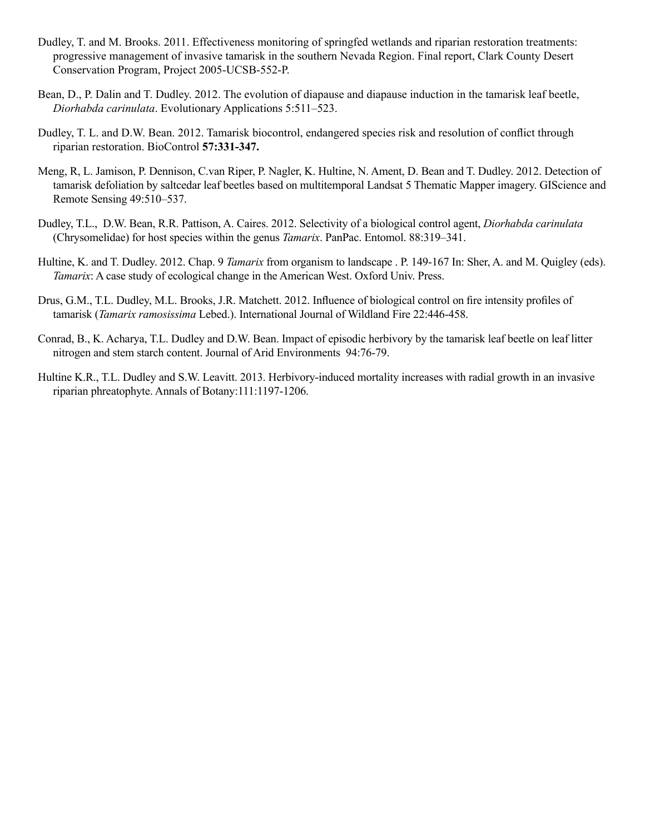- Dudley, T. and M. Brooks. 2011. Effectiveness monitoring of springfed wetlands and riparian restoration treatments: progressive management of invasive tamarisk in the southern Nevada Region. Final report, Clark County Desert Conservation Program, Project 2005-UCSB-552-P.
- Bean, D., P. Dalin and T. Dudley. 2012. The evolution of diapause and diapause induction in the tamarisk leaf beetle, *Diorhabda carinulata*. Evolutionary Applications 5:511–523.
- Dudley, T. L. and D.W. Bean. 2012. Tamarisk biocontrol, endangered species risk and resolution of conflict through riparian restoration. BioControl **57:331-347.**
- Meng, R, L. Jamison, P. Dennison, C.van Riper, P. Nagler, K. Hultine, N. Ament, D. Bean and T. Dudley. 2012. Detection of tamarisk defoliation by saltcedar leaf beetles based on multitemporal Landsat 5 Thematic Mapper imagery. GIScience and Remote Sensing 49:510–537.
- Dudley, T.L., D.W. Bean, R.R. Pattison, A. Caires. 2012. Selectivity of a biological control agent, *Diorhabda carinulata* (Chrysomelidae) for host species within the genus *Tamarix*. PanPac. Entomol. 88:319–341.
- Hultine, K. and T. Dudley. 2012. Chap. 9 *Tamarix* from organism to landscape . P. 149-167 In: Sher, A. and M. Quigley (eds). *Tamarix*: A case study of ecological change in the American West. Oxford Univ. Press.
- Drus, G.M., T.L. Dudley, M.L. Brooks, J.R. Matchett. 2012. Influence of biological control on fire intensity profiles of tamarisk (*Tamarix ramosissima* Lebed.). International Journal of Wildland Fire 22:446-458.
- Conrad, B., K. Acharya, T.L. Dudley and D.W. Bean. Impact of episodic herbivory by the tamarisk leaf beetle on leaf litter nitrogen and stem starch content. Journal of Arid Environments 94:76-79.
- Hultine K.R., T.L. Dudley and S.W. Leavitt. 2013. Herbivory-induced mortality increases with radial growth in an invasive riparian phreatophyte. Annals of Botany:111:1197-1206.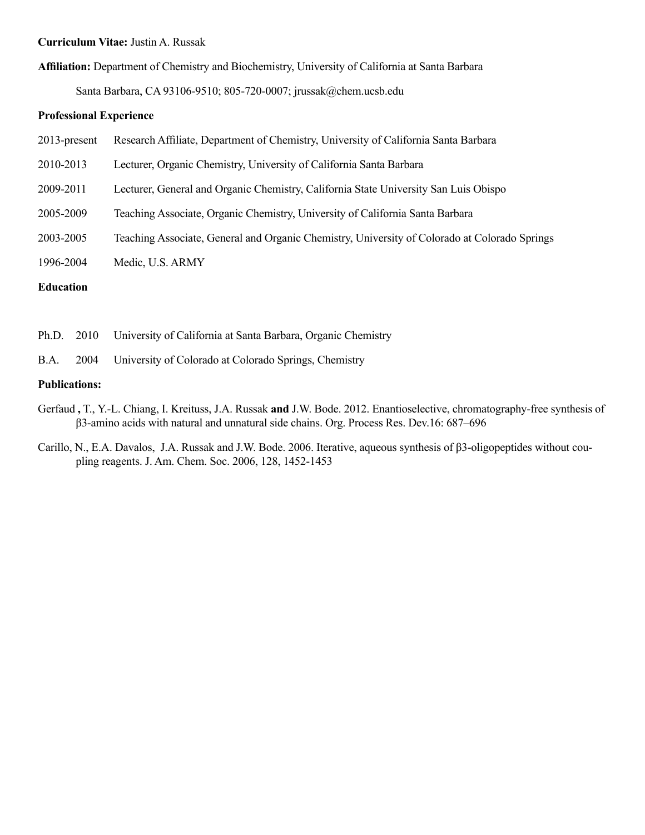#### **Curriculum Vitae:** Justin A. Russak

**Affiliation:** Department of Chemistry and Biochemistry, University of California at Santa Barbara

Santa Barbara, CA 93106-9510; 805-720-0007; [jrussak@chem.ucsb.edu](mailto:jrussak@chem.ucsb.edu) 

#### **Professional Experience**

- 2013-present Research Affiliate, Department of Chemistry, University of California Santa Barbara
- 2010-2013 Lecturer, Organic Chemistry, University of California Santa Barbara
- 2009-2011 Lecturer, General and Organic Chemistry, California State University San Luis Obispo
- 2005-2009 Teaching Associate, Organic Chemistry, University of California Santa Barbara
- 2003-2005 Teaching Associate, General and Organic Chemistry, University of Colorado at Colorado Springs
- 1996-2004 Medic, U.S. ARMY

## **Education**

| Ph.D. 2010 | University of California at Santa Barbara, Organic Chemistry |  |
|------------|--------------------------------------------------------------|--|
|            |                                                              |  |

B.A. 2004 University of Colorado at Colorado Springs, Chemistry

#### **Publications:**

- [Gerfaud](http://cdn-pubs.acs.org/action/doSearch?action=search&author=Gerfaud%2C+T&qsSearchArea=author) **,** T., Y.-L. [Chiang](http://cdn-pubs.acs.org/action/doSearch?action=search&author=Chiang%2C+Y&qsSearchArea=author), I. [Kreituss](http://cdn-pubs.acs.org/action/doSearch?action=search&author=Kreituss%2C+I&qsSearchArea=author), J.A. [Russak](http://cdn-pubs.acs.org/action/doSearch?action=search&author=Russak%2C+J+A&qsSearchArea=author) **and** [J.W. Bode](http://cdn-pubs.acs.org/action/doSearch?action=search&author=Bode%2C+J+W&qsSearchArea=author). 2012. Enantioselective, chromatography-free synthesis of β3-amino acids with natural and unnatural side chains. Org. Process Res. Dev.16: 687–696
- Carillo, N., E.A. Davalos, J.A. Russak and J.W. Bode. 2006. Iterative, aqueous synthesis of β3-oligopeptides without coupling reagents. J. Am. Chem. Soc. 2006, 128, 1452-1453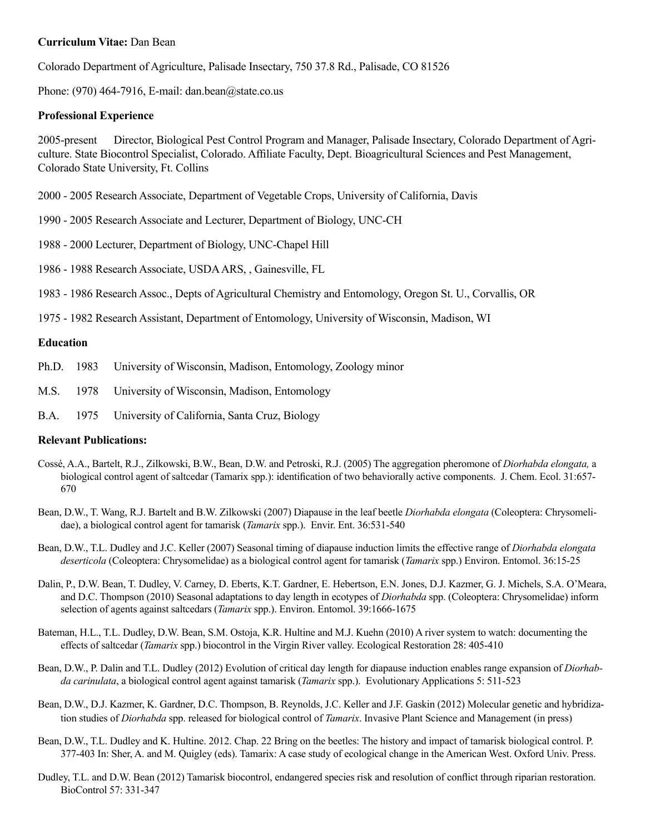#### **Curriculum Vitae:** Dan Bean

Colorado Department of Agriculture, Palisade Insectary, 750 37.8 Rd., Palisade, CO 81526

Phone:  $(970)$  464-7916, E-mail: dan.bean $@$ state.co.us

#### **Professional Experience**

2005-present Director, Biological Pest Control Program and Manager, Palisade Insectary, Colorado Department of Agriculture. State Biocontrol Specialist, Colorado. Affiliate Faculty, Dept. Bioagricultural Sciences and Pest Management, Colorado State University, Ft. Collins

2000 - 2005 Research Associate, Department of Vegetable Crops, University of California, Davis

- 1990 2005 Research Associate and Lecturer, Department of Biology, UNC-CH
- 1988 2000 Lecturer, Department of Biology, UNC-Chapel Hill
- 1986 1988 Research Associate, USDA ARS, , Gainesville, FL

1983 - 1986 Research Assoc., Depts of Agricultural Chemistry and Entomology, Oregon St. U., Corvallis, OR

1975 - 1982 Research Assistant, Department of Entomology, University of Wisconsin, Madison, WI

#### **Education**

- Ph.D. 1983 University of Wisconsin, Madison, Entomology, Zoology minor
- M.S. 1978 University of Wisconsin, Madison, Entomology
- B.A. 1975 University of California, Santa Cruz, Biology

#### **Relevant Publications:**

- Cossé, A.A., Bartelt, R.J., Zilkowski, B.W., Bean, D.W. and Petroski, R.J. (2005) The aggregation pheromone of *Diorhabda elongata,* a biological control agent of saltcedar (Tamarix spp.): identification of two behaviorally active components. J. Chem. Ecol. 31:657- 670
- Bean, D.W., T. Wang, R.J. Bartelt and B.W. Zilkowski (2007) Diapause in the leaf beetle *Diorhabda elongata* (Coleoptera: Chrysomelidae), a biological control agent for tamarisk (*Tamarix* spp.). Envir. Ent. 36:531-540

Bean, D.W., T.L. Dudley and J.C. Keller (2007) Seasonal timing of diapause induction limits the effective range of *Diorhabda elongata deserticola* (Coleoptera: Chrysomelidae) as a biological control agent for tamarisk (*Tamarix* spp.) Environ. Entomol. 36:15-25

- Dalin, P., D.W. Bean, T. Dudley, V. Carney, D. Eberts, K.T. Gardner, E. Hebertson, E.N. Jones, D.J. Kazmer, G. J. Michels, S.A. O'Meara, and D.C. Thompson (2010) Seasonal adaptations to day length in ecotypes of *Diorhabda* spp. (Coleoptera: Chrysomelidae) inform selection of agents against saltcedars (*Tamarix* spp.). Environ. Entomol. 39:1666-1675
- Bateman, H.L., T.L. Dudley, D.W. Bean, S.M. Ostoja, K.R. Hultine and M.J. Kuehn (2010) A river system to watch: documenting the effects of saltcedar (*Tamarix* spp.) biocontrol in the Virgin River valley. Ecological Restoration 28: 405-410
- Bean, D.W., P. Dalin and T.L. Dudley (2012) Evolution of critical day length for diapause induction enables range expansion of *Diorhabda carinulata*, a biological control agent against tamarisk (*Tamarix* spp.). Evolutionary Applications 5: 511-523
- Bean, D.W., D.J. Kazmer, K. Gardner, D.C. Thompson, B. Reynolds, J.C. Keller and J.F. Gaskin (2012) Molecular genetic and hybridization studies of *Diorhabda* spp. released for biological control of *Tamarix*. Invasive Plant Science and Management (in press)
- Bean, D.W., T.L. Dudley and K. Hultine. 2012. Chap. 22 Bring on the beetles: The history and impact of tamarisk biological control. P. 377-403 In: Sher, A. and M. Quigley (eds). Tamarix: A case study of ecological change in the American West. Oxford Univ. Press.
- Dudley, T.L. and D.W. Bean (2012) Tamarisk biocontrol, endangered species risk and resolution of conflict through riparian restoration. BioControl 57: 331-347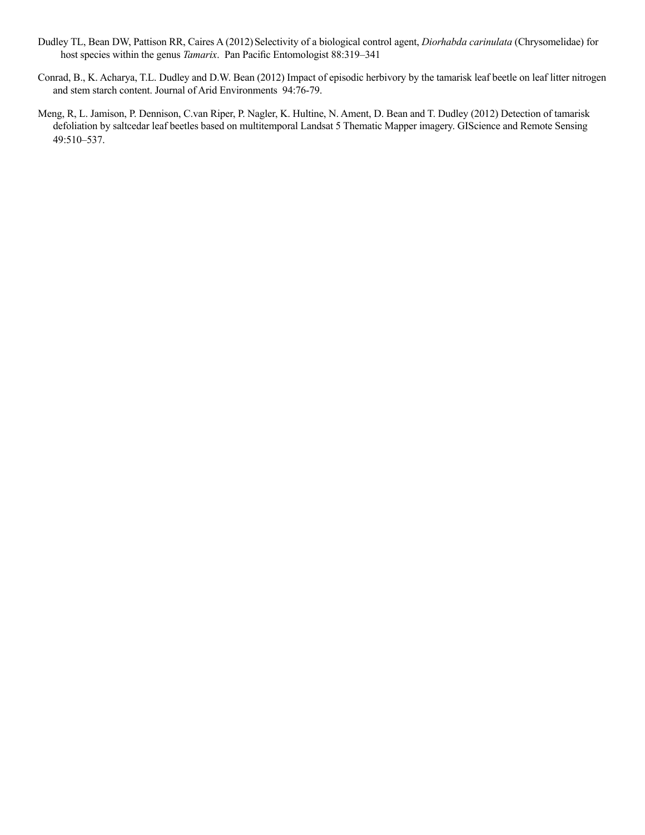- Dudley TL, Bean DW, Pattison RR, Caires A (2012) Selectivity of a biological control agent, *Diorhabda carinulata* (Chrysomelidae) for host species within the genus *Tamarix*. Pan Pacific Entomologist 88:319–341
- Conrad, B., K. Acharya, T.L. Dudley and D.W. Bean (2012) Impact of episodic herbivory by the tamarisk leaf beetle on leaf litter nitrogen and stem starch content. Journal of Arid Environments 94:76-79.
- Meng, R, L. Jamison, P. Dennison, C.van Riper, P. Nagler, K. Hultine, N. Ament, D. Bean and T. Dudley (2012) Detection of tamarisk defoliation by saltcedar leaf beetles based on multitemporal Landsat 5 Thematic Mapper imagery. GIScience and Remote Sensing 49:510–537.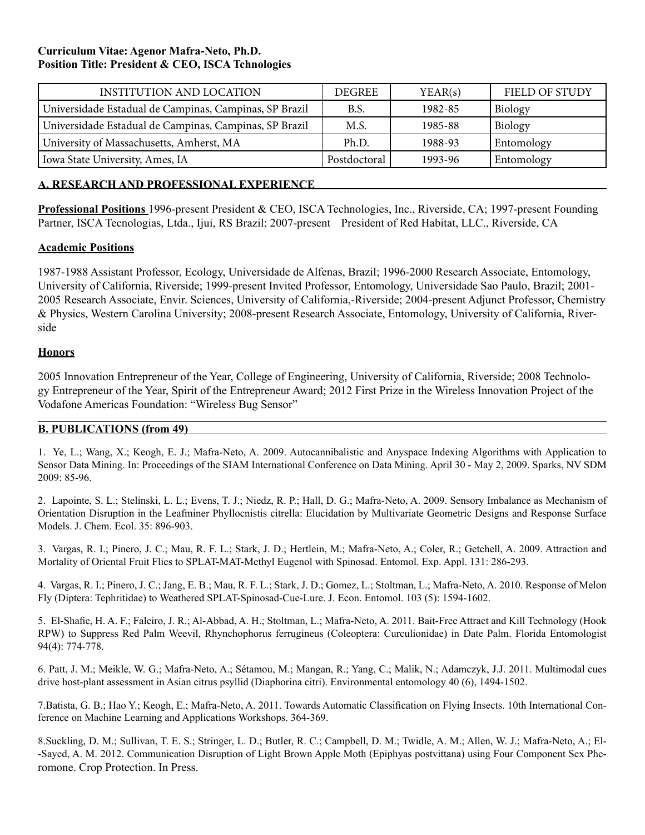## **Curriculum Vitae: Agenor Mafra-Neto, Ph.D. Position Title: President & CEO, ISCA Tchnologies**

| <b>INSTITUTION AND LOCATION</b>                        | DEGREE       | YEAR(s) | <b>FIELD OF STUDY</b> |
|--------------------------------------------------------|--------------|---------|-----------------------|
| Universidade Estadual de Campinas, Campinas, SP Brazil | B.S.         | 1982-85 | Biology               |
| Universidade Estadual de Campinas, Campinas, SP Brazil | M.S.         | 1985-88 | Biology               |
| University of Massachusetts, Amherst, MA               | Ph.D.        | 1988-93 | Entomology            |
| Iowa State University, Ames, IA                        | Postdoctoral | 1993-96 | Entomology            |

## **A. RESEARCH AND PROFESSIONAL EXPERIENCE**

**Professional Positions** 1996-present President & CEO, ISCA Technologies, Inc., Riverside, CA; 1997-present Founding Partner, ISCA Tecnologias, Ltda., Ijui, RS Brazil; 2007-present President of Red Habitat, LLC., Riverside, CA

## **Academic Positions**

1987-1988 Assistant Professor, Ecology, Universidade de Alfenas, Brazil; 1996-2000 Research Associate, Entomology, University of California, Riverside; 1999-present Invited Professor, Entomology, Universidade Sao Paulo, Brazil; 2001- 2005 Research Associate, Envir. Sciences, University of California,-Riverside; 2004-present Adjunct Professor, Chemistry & Physics, Western Carolina University; 2008-present Research Associate, Entomology, University of California, Riverside

## **Honors**

2005 Innovation Entrepreneur of the Year, College of Engineering, University of California, Riverside; 2008 Technology Entrepreneur of the Year, Spirit of the Entrepreneur Award; 2012 First Prize in the Wireless Innovation Project of the Vodafone Americas Foundation: "Wireless Bug Sensor"

## **B. PUBLICATIONS (from 49)**

1. Ye, L.; Wang, X.; Keogh, E. J.; Mafra-Neto, A. 2009. Autocannibalistic and Anyspace Indexing Algorithms with Application to Sensor Data Mining. In: Proceedings of the SIAM International Conference on Data Mining. April 30 - May 2, 2009. Sparks, NV SDM 2009: 85-96.

2. Lapointe, S. L.; Stelinski, L. L.; Evens, T. J.; Niedz, R. P.; Hall, D. G.; Mafra-Neto, A. 2009. Sensory Imbalance as Mechanism of Orientation Disruption in the Leafminer Phyllocnistis citrella: Elucidation by Multivariate Geometric Designs and Response Surface Models. J. Chem. Ecol. 35: 896-903.

3. Vargas, R. I.; Pinero, J. C.; Mau, R. F. L.; Stark, J. D.; Hertlein, M.; Mafra-Neto, A.; Coler, R.; Getchell, A. 2009. Attraction and Mortality of Oriental Fruit Flies to SPLAT-MAT-Methyl Eugenol with Spinosad. Entomol. Exp. Appl. 131: 286-293.

4. Vargas, R. I.; Pinero, J. C.; Jang, E. B.; Mau, R. F. L.; Stark, J. D.; Gomez, L.; Stoltman, L.; Mafra-Neto, A. 2010. Response of Melon Fly (Diptera: Tephritidae) to Weathered SPLAT-Spinosad-Cue-Lure. J. Econ. Entomol. 103 (5): 1594-1602.

5. El-Shafie, H. A. F.; Faleiro, J. R.; Al-Abbad, A. H.; Stoltman, L.; Mafra-Neto, A. 2011. Bait-Free Attract and Kill Technology (Hook RPW) to Suppress Red Palm Weevil, Rhynchophorus ferrugineus (Coleoptera: Curculionidae) in Date Palm. Florida Entomologist 94(4): 774-778.

6. Patt, J. M.; Meikle, W. G.; Mafra-Neto, A.; Sétamou, M.; Mangan, R.; Yang, C.; Malik, N.; Adamczyk, J.J. 2011. Multimodal cues drive host-plant assessment in Asian citrus psyllid (Diaphorina citri). Environmental entomology 40 (6), 1494-1502.

7.Batista, G. B.; Hao Y.; Keogh, E.; Mafra-Neto, A. 2011. Towards Automatic Classification on Flying Insects. 10th International Conference on Machine Learning and Applications Workshops. 364-369.

8.Suckling, D. M.; Sullivan, T. E. S.; Stringer, L. D.; Butler, R. C.; Campbell, D. M.; Twidle, A. M.; Allen, W. J.; Mafra-Neto, A.; El- -Sayed, A. M. 2012. Communication Disruption of Light Brown Apple Moth (Epiphyas postvittana) using Four Component Sex Pheromone. Crop Protection. In Press.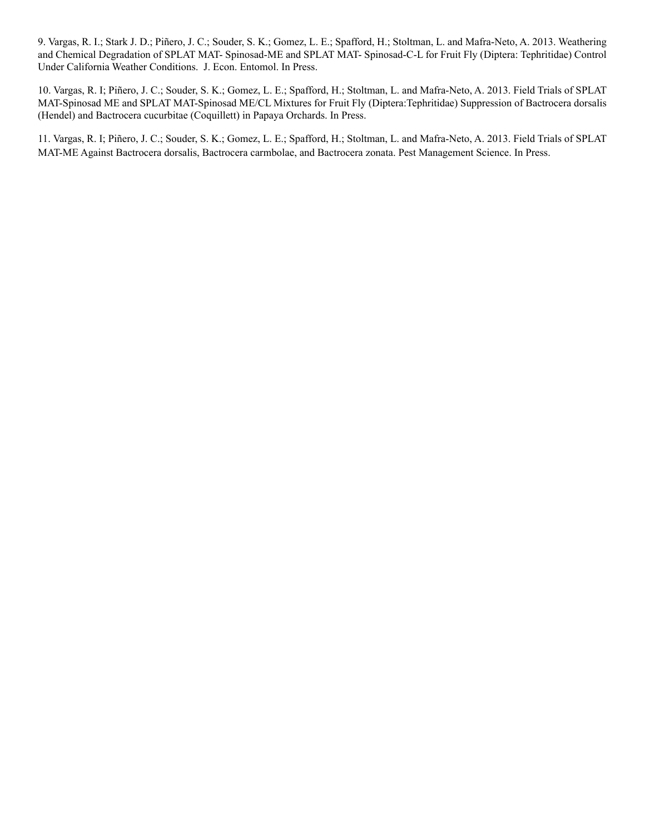9. Vargas, R. I.; Stark J. D.; Piñero, J. C.; Souder, S. K.; Gomez, L. E.; Spafford, H.; Stoltman, L. and Mafra-Neto, A. 2013. Weathering and Chemical Degradation of SPLAT MAT- Spinosad-ME and SPLAT MAT- Spinosad-C-L for Fruit Fly (Diptera: Tephritidae) Control Under California Weather Conditions. J. Econ. Entomol. In Press.

10. Vargas, R. I; Piñero, J. C.; Souder, S. K.; Gomez, L. E.; Spafford, H.; Stoltman, L. and Mafra-Neto, A. 2013. Field Trials of SPLAT MAT-Spinosad ME and SPLAT MAT-Spinosad ME/CL Mixtures for Fruit Fly (Diptera:Tephritidae) Suppression of Bactrocera dorsalis (Hendel) and Bactrocera cucurbitae (Coquillett) in Papaya Orchards. In Press.

11. Vargas, R. I; Piñero, J. C.; Souder, S. K.; Gomez, L. E.; Spafford, H.; Stoltman, L. and Mafra-Neto, A. 2013. Field Trials of SPLAT MAT-ME Against Bactrocera dorsalis, Bactrocera carmbolae, and Bactrocera zonata. Pest Management Science. In Press.